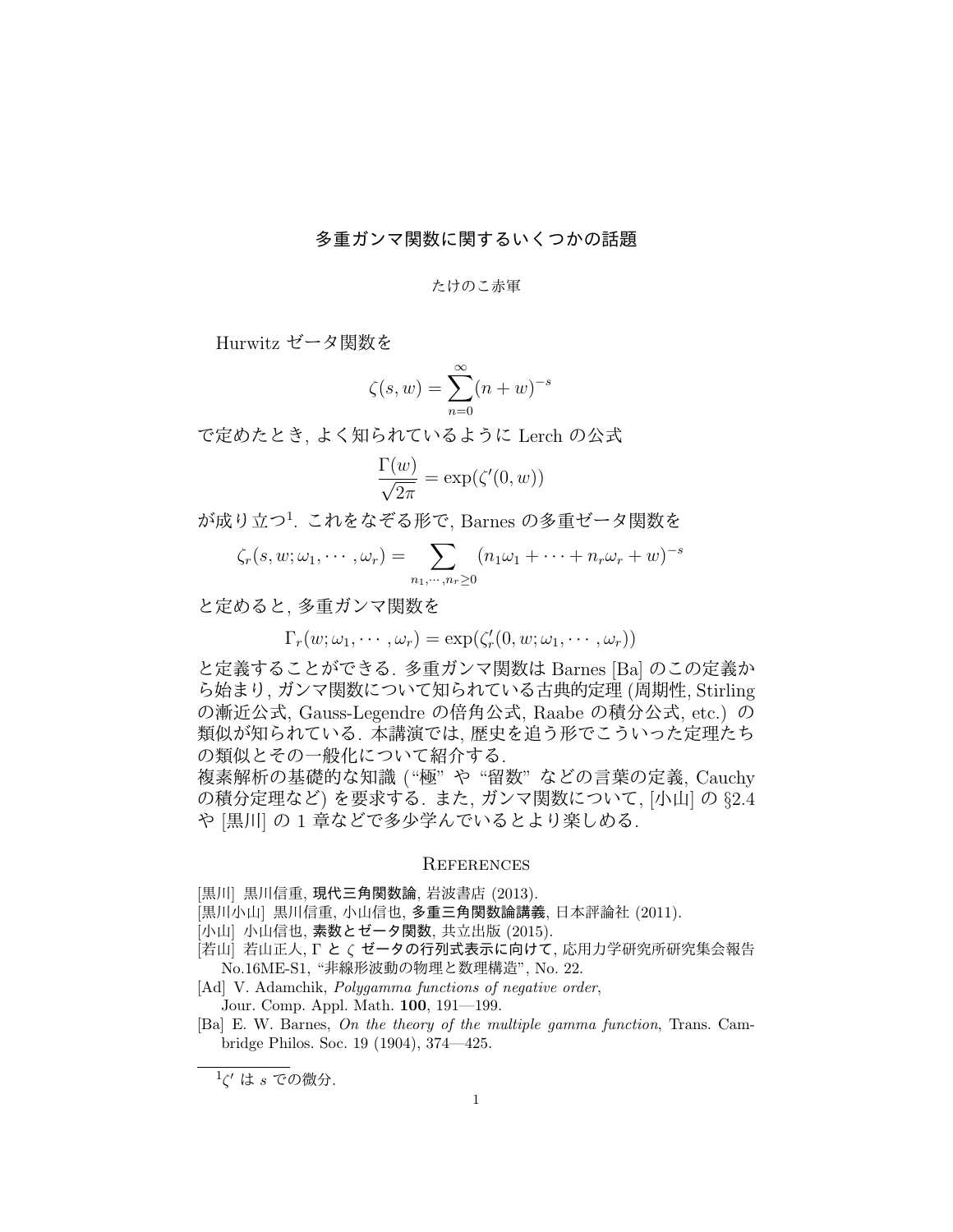## 多重ガンマ関数に関するいくつかの話題

## たけのこ赤軍

Hurwitz ゼータ関数を

$$
\zeta(s, w) = \sum_{n=0}^{\infty} (n + w)^{-s}
$$

で定めたとき, よく知られているように Lerch の公式

$$
\frac{\Gamma(w)}{\sqrt{2\pi}} = \exp(\zeta'(0, w))
$$

が成り立つ<sup>1</sup> . これをなぞる形で, Barnes の多重ゼータ関数を

$$
\zeta_r(s, w; \omega_1, \cdots, \omega_r) = \sum_{n_1, \cdots, n_r \geq 0} (n_1 \omega_1 + \cdots + n_r \omega_r + w)^{-s}
$$

と定めると, 多重ガンマ関数を

$$
\Gamma_r(w; \omega_1, \cdots, \omega_r) = \exp(\zeta'_r(0, w; \omega_1, \cdots, \omega_r))
$$

と定義することができる. 多重ガンマ関数は Barnes [Ba] のこの定義か ら始まり, ガンマ関数について知られている古典的定理 (周期性, Stirling の漸近公式, Gauss-Legendre の倍角公式, Raabe の積分公式, etc.) の 類似が知られている. 本講演では, 歴史を追う形でこういった定理たち の類似とその一般化について紹介する.

複素解析の基礎的な知識 ("極" や "留数" などの言葉の定義, Cauchy の積分定理など) を要求する. また, ガンマ関数について, [小山] <sup>の</sup> *§*2.4 や [黒川] の 1 章などで多少学んでいるとより楽しめる.

## **REFERENCES**

- [黒川] 黒川信重, 現代三角関数論, 岩波書店 (2013).
- [黒川小山] 黒川信重, 小山信也, 多重三角関数論講義, 日本評論社 (2011).
- [小山] 小山信也, 素数とゼータ関数, 共立出版 (2015).
- [若山] 若山正人, Γ と *ζ* ゼータの行列式表示に向けて, 応用力学研究所研究集会報告 No.16ME-S1, "非線形波動の物理と数理構造", No. 22.
- [Ad] V. Adamchik, *Polygamma functions of negative order*, Jour. Comp. Appl. Math. **100**, 191—199.
- [Ba] E. W. Barnes, *On the theory of the multiple gamma function*, Trans. Cambridge Philos. Soc. 19 (1904), 374—425.

<sup>1</sup> *ζ ′* は *s* での微分.